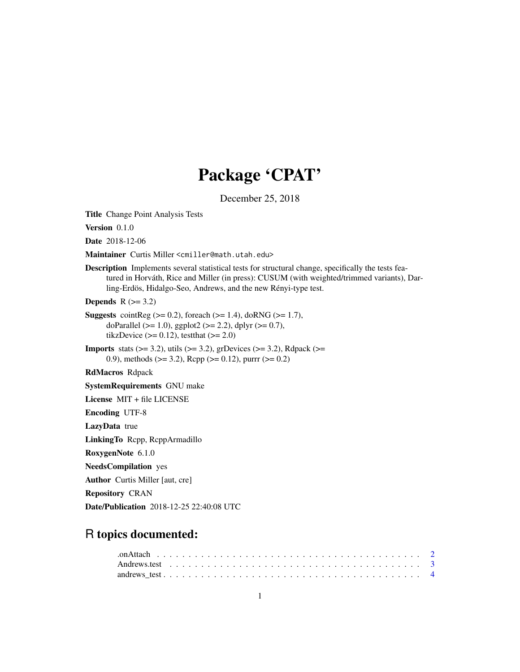# Package 'CPAT'

December 25, 2018

<span id="page-0-0"></span>Title Change Point Analysis Tests

Version 0.1.0

Date 2018-12-06

Maintainer Curtis Miller <cmiller@math.utah.edu>

Description Implements several statistical tests for structural change, specifically the tests featured in Horváth, Rice and Miller (in press): CUSUM (with weighted/trimmed variants), Darling-Erdös, Hidalgo-Seo, Andrews, and the new Rényi-type test.

Depends  $R$  ( $>= 3.2$ )

- **Suggests** cointReg ( $>= 0.2$ ), foreach ( $>= 1.4$ ), doRNG ( $>= 1.7$ ), doParallel ( $>= 1.0$ ), ggplot2 ( $>= 2.2$ ), dplyr ( $>= 0.7$ ), tikzDevice  $(>= 0.12)$ , testthat  $(>= 2.0)$
- **Imports** stats  $(>= 3.2)$ , utils  $(>= 3.2)$ , grDevices  $(>= 3.2)$ , Rdpack  $(>= 1.2)$ 0.9), methods ( $>= 3.2$ ), Rcpp ( $>= 0.12$ ), purrr ( $>= 0.2$ )

RdMacros Rdpack

SystemRequirements GNU make

License MIT + file LICENSE

Encoding UTF-8

LazyData true

LinkingTo Rcpp, RcppArmadillo

RoxygenNote 6.1.0

NeedsCompilation yes

Author Curtis Miller [aut, cre]

Repository CRAN

Date/Publication 2018-12-25 22:40:08 UTC

# R topics documented: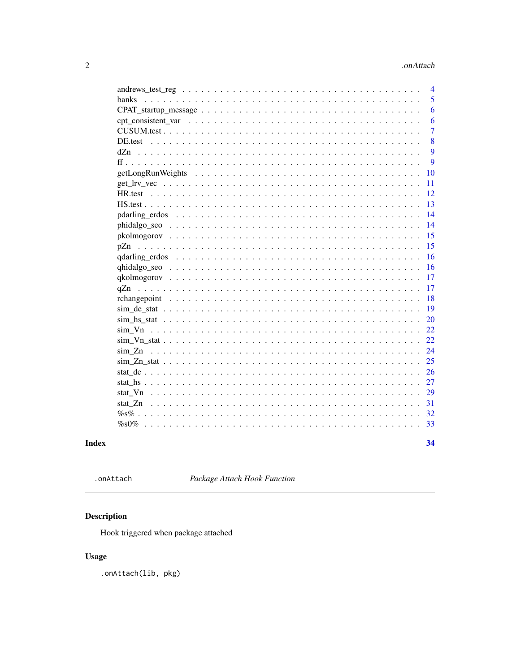# .onAttach

<span id="page-1-0"></span>

|           | $\overline{4}$ |
|-----------|----------------|
| banks     | 5              |
|           | 6              |
|           | 6              |
|           | $\overline{7}$ |
| DE.test   | 8              |
| dZn       | 9              |
|           | 9              |
|           | 10             |
|           | 11             |
| HR test   | 12             |
|           | 13             |
|           | 14             |
|           | 14             |
|           | 15             |
| pZn       | 15             |
|           | 16             |
|           | 16             |
|           | 17             |
|           | 17             |
|           | 18             |
|           | 19             |
|           | 20             |
|           | 22             |
|           | 22             |
| $\sin Zn$ | 24             |
|           | 25             |
|           | 26             |
|           | 27             |
| stat Vn   | 29             |
|           | 31             |
|           | 32             |
|           | 33             |
|           |                |
|           | 34             |

# **Index**

```
.onAttach
```
Package Attach Hook Function

# $\begin{minipage}[c]{0.4\linewidth} \textbf{Description} \end{minipage} \vspace{-0.3cm}$

Hook triggered when package attached

# **Usage**

.onAttach(lib, pkg)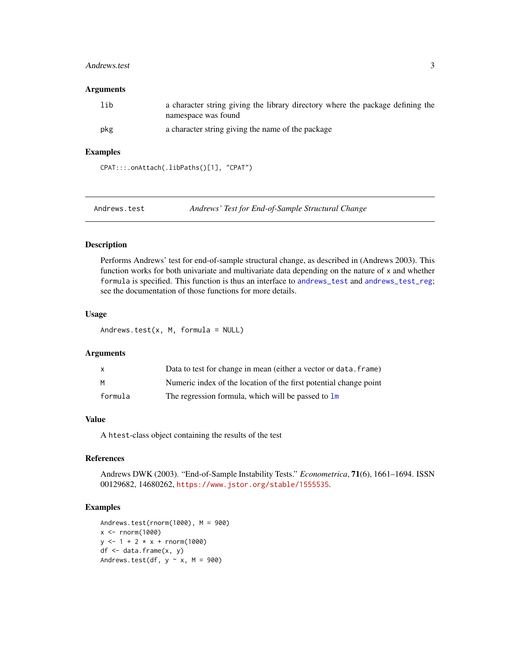#### <span id="page-2-0"></span>Andrews.test 3

#### Arguments

| lib | a character string giving the library directory where the package defining the<br>namespace was found |
|-----|-------------------------------------------------------------------------------------------------------|
| pkg | a character string giving the name of the package                                                     |

#### Examples

```
CPAT:::.onAttach(.libPaths()[1], "CPAT")
```
Andrews.test *Andrews' Test for End-of-Sample Structural Change*

# Description

Performs Andrews' test for end-of-sample structural change, as described in (Andrews 2003). This function works for both univariate and multivariate data depending on the nature of x and whether formula is specified. This function is thus an interface to [andrews\\_test](#page-3-1) and [andrews\\_test\\_reg](#page-3-2); see the documentation of those functions for more details.

# Usage

Andrews.test $(x, M,$  formula = NULL)

#### Arguments

| $\mathsf{x}$ | Data to test for change in mean (either a vector or data, frame)  |
|--------------|-------------------------------------------------------------------|
| M            | Numeric index of the location of the first potential change point |
| formula      | The regression formula, which will be passed to lm                |

#### Value

A htest-class object containing the results of the test

#### References

Andrews DWK (2003). "End-of-Sample Instability Tests." *Econometrica*, 71(6), 1661–1694. ISSN 00129682, 14680262, <https://www.jstor.org/stable/1555535>.

```
Andrews.test(rnorm(1000), M = 900)
x <- rnorm(1000)
y \le -1 + 2 \times x + \text{norm}(1000)df \leftarrow data.frame(x, y)Andrews.test(df, y \sim x, M = 900)
```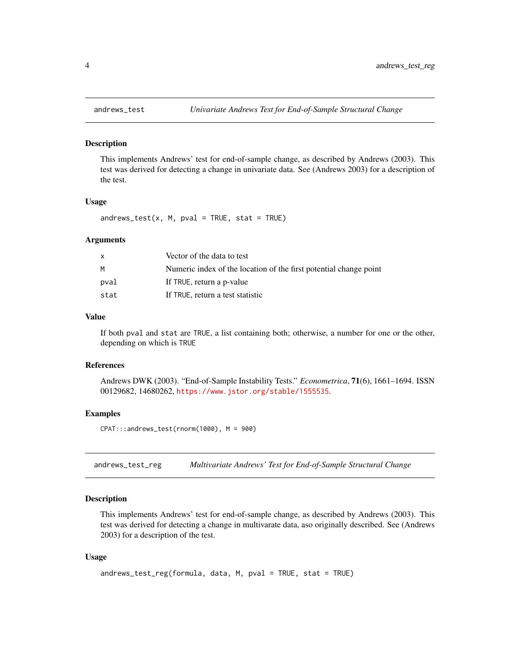<span id="page-3-1"></span><span id="page-3-0"></span>

This implements Andrews' test for end-of-sample change, as described by Andrews (2003). This test was derived for detecting a change in univariate data. See (Andrews 2003) for a description of the test.

#### Usage

 $andrews_test(x, M, pval = TRUE, stat = TRUE)$ 

#### Arguments

|      | Vector of the data to test                                        |
|------|-------------------------------------------------------------------|
| м    | Numeric index of the location of the first potential change point |
| pval | If TRUE, return a p-value                                         |
| stat | If TRUE, return a test statistic                                  |

#### Value

If both pval and stat are TRUE, a list containing both; otherwise, a number for one or the other, depending on which is TRUE

#### References

Andrews DWK (2003). "End-of-Sample Instability Tests." *Econometrica*, 71(6), 1661–1694. ISSN 00129682, 14680262, <https://www.jstor.org/stable/1555535>.

#### Examples

CPAT:::andrews\_test(rnorm(1000), M = 900)

<span id="page-3-2"></span>andrews\_test\_reg *Multivariate Andrews' Test for End-of-Sample Structural Change*

# Description

This implements Andrews' test for end-of-sample change, as described by Andrews (2003). This test was derived for detecting a change in multivarate data, aso originally described. See (Andrews 2003) for a description of the test.

#### Usage

```
andrews_test_reg(formula, data, M, pval = TRUE, stat = TRUE)
```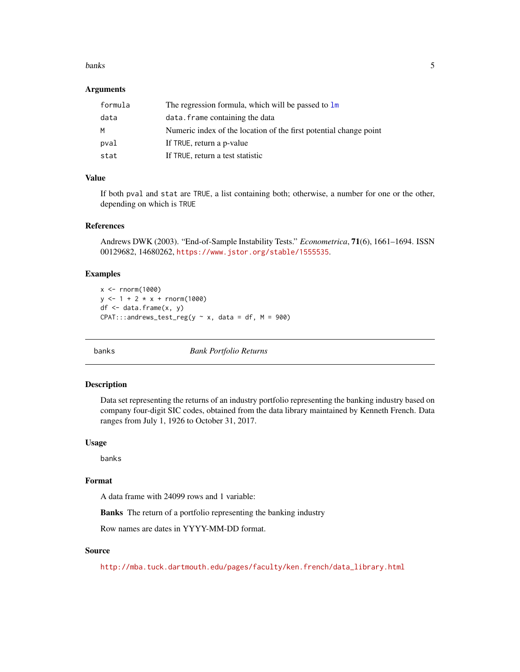#### <span id="page-4-0"></span>banks 5

#### Arguments

| formula | The regression formula, which will be passed to $\text{Im}$       |
|---------|-------------------------------------------------------------------|
| data    | data. frame containing the data                                   |
| м       | Numeric index of the location of the first potential change point |
| pval    | If TRUE, return a p-value                                         |
| stat    | If TRUE, return a test statistic                                  |

# Value

If both pval and stat are TRUE, a list containing both; otherwise, a number for one or the other, depending on which is TRUE

#### References

Andrews DWK (2003). "End-of-Sample Instability Tests." *Econometrica*, 71(6), 1661–1694. ISSN 00129682, 14680262, <https://www.jstor.org/stable/1555535>.

#### Examples

```
x <- rnorm(1000)
y \le -1 + 2 \times x + \text{rnorm}(1000)df \leftarrow data.frame(x, y)CPAT:::andrews_test_reg(y \sim x, data = df, M = 900)
```
banks *Bank Portfolio Returns*

#### Description

Data set representing the returns of an industry portfolio representing the banking industry based on company four-digit SIC codes, obtained from the data library maintained by Kenneth French. Data ranges from July 1, 1926 to October 31, 2017.

#### Usage

banks

# Format

A data frame with 24099 rows and 1 variable:

Banks The return of a portfolio representing the banking industry

Row names are dates in YYYY-MM-DD format.

#### Source

[http://mba.tuck.dartmouth.edu/pages/faculty/ken.french/data\\_library.html](http://mba.tuck.dartmouth.edu/pages/faculty/ken.french/data_library.html)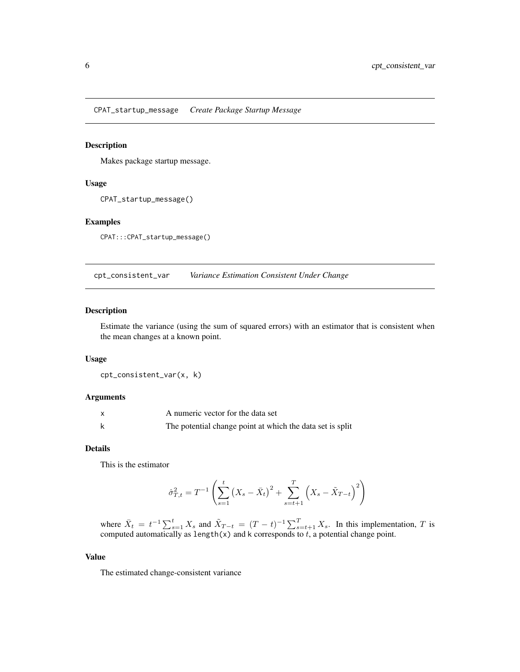<span id="page-5-0"></span>CPAT\_startup\_message *Create Package Startup Message*

# Description

Makes package startup message.

#### Usage

```
CPAT_startup_message()
```
#### Examples

CPAT:::CPAT\_startup\_message()

cpt\_consistent\_var *Variance Estimation Consistent Under Change*

# Description

Estimate the variance (using the sum of squared errors) with an estimator that is consistent when the mean changes at a known point.

# Usage

cpt\_consistent\_var(x, k)

#### Arguments

| A numeric vector for the data set                         |
|-----------------------------------------------------------|
| The potential change point at which the data set is split |

#### Details

This is the estimator

$$
\hat{\sigma}_{T,t}^2 = T^{-1} \left( \sum_{s=1}^t (X_s - \bar{X}_t)^2 + \sum_{s=t+1}^T (X_s - \tilde{X}_{T-t})^2 \right)
$$

where  $\bar{X}_t = t^{-1} \sum_{s=1}^t X_s$  and  $\tilde{X}_{T-t} = (T-t)^{-1} \sum_{s=t+1}^T X_s$ . In this implementation, T is computed automatically as length(x) and k corresponds to  $t$ , a potential change point.

#### Value

The estimated change-consistent variance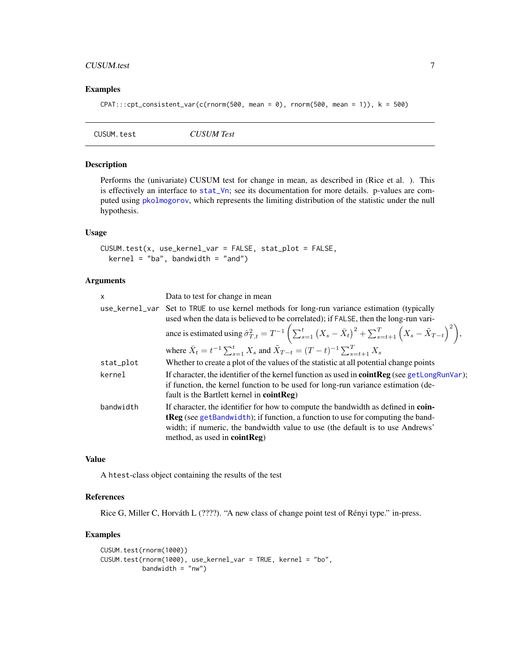### <span id="page-6-0"></span>CUSUM.test 7

# Examples

```
CPATH::cpt\_consistent\_var(c(rnorm(500, mean = 0), rnorm(500, mean = 1)), k = 500)
```

| CUSUM Test<br>CUSUM.test |
|--------------------------|
|--------------------------|

# Description

Performs the (univariate) CUSUM test for change in mean, as described in (Rice et al. ). This is effectively an interface to [stat\\_Vn](#page-28-1); see its documentation for more details. p-values are computed using [pkolmogorov](#page-14-1), which represents the limiting distribution of the statistic under the null hypothesis.

# Usage

```
CUSUM.test(x, use_kernel_var = FALSE, stat_plot = FALSE,
 kernel = "ba", bandwidth = "and")
```
# Arguments

| X         | Data to test for change in mean                                                                                                                                                                                                                                                                        |
|-----------|--------------------------------------------------------------------------------------------------------------------------------------------------------------------------------------------------------------------------------------------------------------------------------------------------------|
|           | use_kernel_var Set to TRUE to use kernel methods for long-run variance estimation (typically<br>used when the data is believed to be correlated); if FALSE, then the long-run vari-                                                                                                                    |
|           | ance is estimated using $\hat{\sigma}_{T,t}^2 = T^{-1} \left( \sum_{s=1}^t (X_s - \bar{X}_t)^2 + \sum_{s=t+1}^T (X_s - \tilde{X}_{T-t})^2 \right),$                                                                                                                                                    |
|           | where $\bar{X}_t = t^{-1} \sum_{s=1}^t X_s$ and $\tilde{X}_{T-t} = (T-t)^{-1} \sum_{s=t+1}^T X_s$                                                                                                                                                                                                      |
| stat_plot | Whether to create a plot of the values of the statistic at all potential change points                                                                                                                                                                                                                 |
| kernel    | If character, the identifier of the kernel function as used in <b>cointReg</b> (see getLongRunVar);<br>if function, the kernel function to be used for long-run variance estimation (de-<br>fault is the Bartlett kernel in coint Reg)                                                                 |
| bandwidth | If character, the identifier for how to compute the bandwidth as defined in <b>coin-</b><br><b>tReg</b> (see getBandwidth); if function, a function to use for computing the band-<br>width; if numeric, the bandwidth value to use (the default is to use Andrews'<br>method, as used in $cointReg$ ) |

#### Value

A htest-class object containing the results of the test

#### References

Rice G, Miller C, Horváth L (????). "A new class of change point test of Rényi type." in-press.

```
CUSUM.test(rnorm(1000))
CUSUM.test(rnorm(1000), use_kernel_var = TRUE, kernel = "bo",
           bandwidth = "nw")
```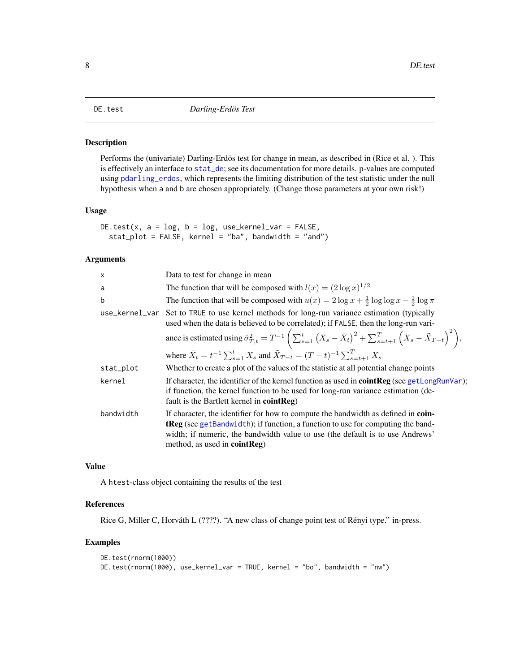<span id="page-7-0"></span>Performs the (univariate) Darling-Erdös test for change in mean, as described in (Rice et al. ). This is effectively an interface to [stat\\_de](#page-25-1); see its documentation for more details. p-values are computed using [pdarling\\_erdos](#page-13-1), which represents the limiting distribution of the test statistic under the null hypothesis when a and b are chosen appropriately. (Change those parameters at your own risk!)

#### Usage

```
DE.test(x, a = log, b = log, use\_kernel\_var = FALSE,stat_plot = FALSE, kernel = "ba", bandwidth = "and")
```
# Arguments

| Data to test for change in mean                                                                                                                                                                                                                                                                 |
|-------------------------------------------------------------------------------------------------------------------------------------------------------------------------------------------------------------------------------------------------------------------------------------------------|
| The function that will be composed with $l(x) = (2 \log x)^{1/2}$                                                                                                                                                                                                                               |
| The function that will be composed with $u(x) = 2 \log x + \frac{1}{2} \log \log x - \frac{1}{2} \log \pi$                                                                                                                                                                                      |
| use_kernel_var Set to TRUE to use kernel methods for long-run variance estimation (typically<br>used when the data is believed to be correlated); if FALSE, then the long-run vari-                                                                                                             |
| ance is estimated using $\hat{\sigma}_{T,t}^2 = T^{-1} \left( \sum_{s=1}^t (X_s - \bar{X}_t)^2 + \sum_{s=t+1}^T (X_s - \tilde{X}_{T-t})^2 \right),$                                                                                                                                             |
| where $\bar{X}_t = t^{-1} \sum_{s=1}^t X_s$ and $\tilde{X}_{T-t} = (T-t)^{-1} \sum_{s=t+1}^T X_s$                                                                                                                                                                                               |
| Whether to create a plot of the values of the statistic at all potential change points                                                                                                                                                                                                          |
| If character, the identifier of the kernel function as used in <b>coint Reg</b> (see getLongRunVar);<br>if function, the kernel function to be used for long-run variance estimation (de-<br>fault is the Bartlett kernel in cointReg)                                                          |
| If character, the identifier for how to compute the bandwidth as defined in coin-<br><b>tReg</b> (see getBandwidth); if function, a function to use for computing the band-<br>width; if numeric, the bandwidth value to use (the default is to use Andrews'<br>method, as used in $cointReg$ ) |
|                                                                                                                                                                                                                                                                                                 |

### Value

A htest-class object containing the results of the test

# References

Rice G, Miller C, Horváth L (????). "A new class of change point test of Rényi type." in-press.

```
DE.test(rnorm(1000))
DE.test(rnorm(1000), use_kernel_var = TRUE, kernel = "bo", bandwidth = "nw")
```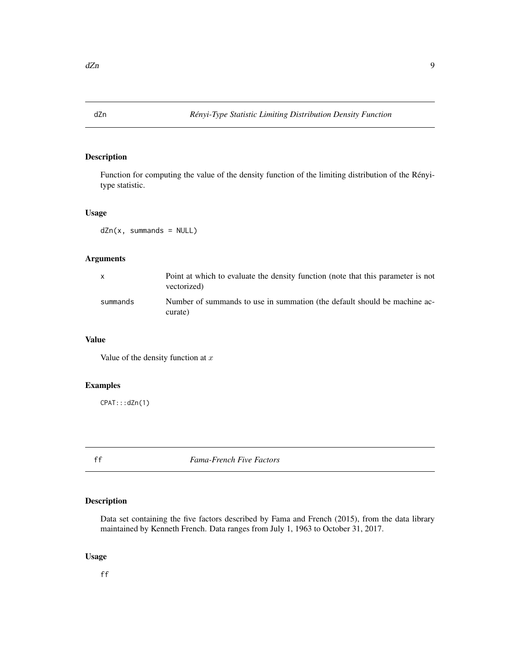<span id="page-8-0"></span>

Function for computing the value of the density function of the limiting distribution of the Rényitype statistic.

#### Usage

dZn(x, summands = NULL)

# Arguments

| X.       | Point at which to evaluate the density function (note that this parameter is not<br>vectorized) |
|----------|-------------------------------------------------------------------------------------------------|
| summands | Number of summands to use in summation (the default should be machine ac-<br>curate)            |

### Value

Value of the density function at  $x$ 

# Examples

CPAT:::dZn(1)

ff *Fama-French Five Factors*

# Description

Data set containing the five factors described by Fama and French (2015), from the data library maintained by Kenneth French. Data ranges from July 1, 1963 to October 31, 2017.

#### Usage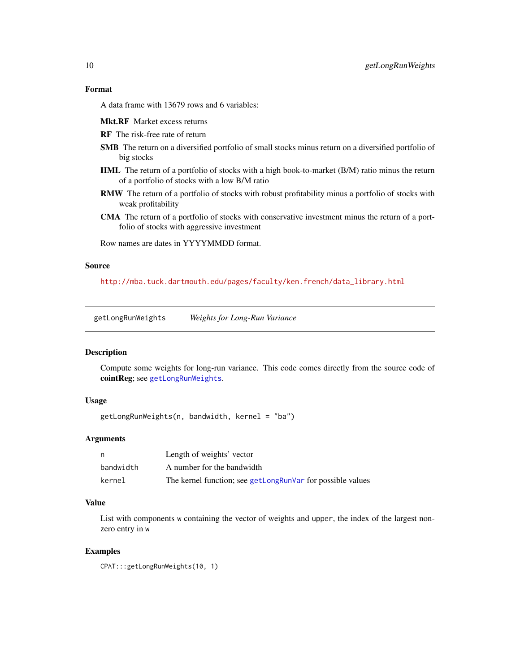# <span id="page-9-0"></span>Format

A data frame with 13679 rows and 6 variables:

Mkt.RF Market excess returns

- RF The risk-free rate of return
- SMB The return on a diversified portfolio of small stocks minus return on a diversified portfolio of big stocks
- HML The return of a portfolio of stocks with a high book-to-market (B/M) ratio minus the return of a portfolio of stocks with a low B/M ratio
- RMW The return of a portfolio of stocks with robust profitability minus a portfolio of stocks with weak profitability
- CMA The return of a portfolio of stocks with conservative investment minus the return of a portfolio of stocks with aggressive investment

Row names are dates in YYYYMMDD format.

#### Source

[http://mba.tuck.dartmouth.edu/pages/faculty/ken.french/data\\_library.html](http://mba.tuck.dartmouth.edu/pages/faculty/ken.french/data_library.html)

<span id="page-9-1"></span>getLongRunWeights *Weights for Long-Run Variance*

#### Description

Compute some weights for long-run variance. This code comes directly from the source code of cointReg; see [getLongRunWeights](#page-9-1).

#### Usage

```
getLongRunWeights(n, bandwidth, kernel = "ba")
```
# Arguments

| n         | Length of weights' vector                                  |
|-----------|------------------------------------------------------------|
| bandwidth | A number for the bandwidth                                 |
| kernel    | The kernel function; see getLongRunVar for possible values |

#### Value

List with components w containing the vector of weights and upper, the index of the largest nonzero entry in w

#### Examples

CPAT:::getLongRunWeights(10, 1)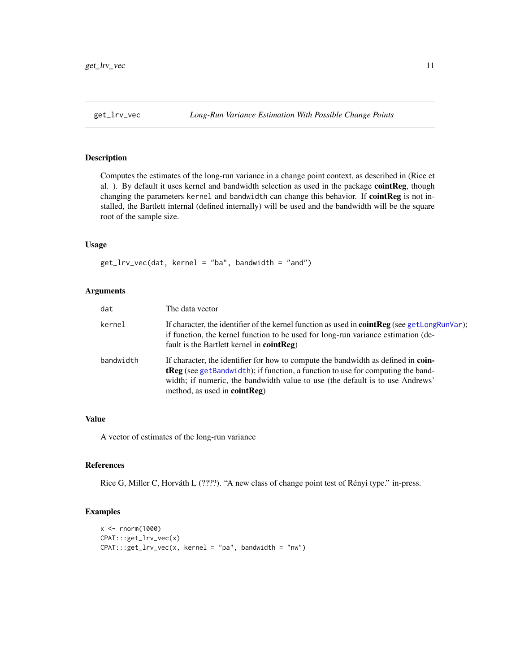<span id="page-10-0"></span>Computes the estimates of the long-run variance in a change point context, as described in (Rice et al. ). By default it uses kernel and bandwidth selection as used in the package cointReg, though changing the parameters kernel and bandwidth can change this behavior. If cointReg is not installed, the Bartlett internal (defined internally) will be used and the bandwidth will be the square root of the sample size.

#### Usage

 $get_lrv\_vec(data, kernel = "ba", bandwidth = "and")$ 

#### Arguments

| dat       | The data vector                                                                                                                                                                                                                                                                                 |
|-----------|-------------------------------------------------------------------------------------------------------------------------------------------------------------------------------------------------------------------------------------------------------------------------------------------------|
| kernel    | If character, the identifier of the kernel function as used in <b>cointReg</b> (see getLongRunVar);<br>if function, the kernel function to be used for long-run variance estimation (de-<br>fault is the Bartlett kernel in cointReg)                                                           |
| bandwidth | If character, the identifier for how to compute the bandwidth as defined in coin-<br><b>tReg</b> (see getBandwidth); if function, a function to use for computing the band-<br>width; if numeric, the bandwidth value to use (the default is to use Andrews'<br>method, as used in $cointReg$ ) |

# Value

A vector of estimates of the long-run variance

#### References

Rice G, Miller C, Horváth L (????). "A new class of change point test of Rényi type." in-press.

```
x < - rnorm(1000)
CPAT:::get_lrv_vec(x)
CPAT:::get_lrv_vec(x, kernel = "pa", bandwidth = "nw")
```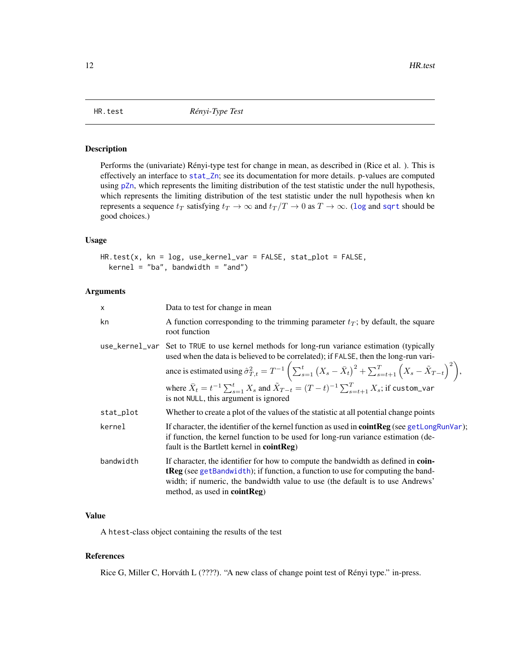<span id="page-11-0"></span>

Performs the (univariate) Rényi-type test for change in mean, as described in (Rice et al. ). This is effectively an interface to [stat\\_Zn](#page-30-1); see its documentation for more details. p-values are computed using [pZn](#page-14-2), which represents the limiting distribution of the test statistic under the null hypothesis, which represents the limiting distribution of the test statistic under the null hypothesis when kn represents a sequence  $t_T$  satisfying  $t_T \to \infty$  and  $t_T/T \to 0$  as  $T \to \infty$ . ([log](#page-0-0) and [sqrt](#page-0-0) should be good choices.)

# Usage

HR.test(x, kn = log, use\_kernel\_var = FALSE, stat\_plot = FALSE,  $k$ ernel = "ba", bandwidth = "and")

#### Arguments

| X         | Data to test for change in mean                                                                                                                                                                                                                                                                      |
|-----------|------------------------------------------------------------------------------------------------------------------------------------------------------------------------------------------------------------------------------------------------------------------------------------------------------|
| kn        | A function corresponding to the trimming parameter $t_T$ ; by default, the square<br>root function                                                                                                                                                                                                   |
|           | use_kernel_var Set to TRUE to use kernel methods for long-run variance estimation (typically<br>used when the data is believed to be correlated); if FALSE, then the long-run vari-                                                                                                                  |
|           | ance is estimated using $\hat{\sigma}_{T,t}^2 = T^{-1} \left( \sum_{s=1}^t (X_s - \bar{X}_t)^2 + \sum_{s=t+1}^T (X_s - \tilde{X}_{T-t})^2 \right),$                                                                                                                                                  |
|           | where $\bar{X}_t = t^{-1} \sum_{s=1}^t X_s$ and $\tilde{X}_{T-t} = (T-t)^{-1} \sum_{s=t+1}^T X_s$ ; if custom_var<br>is not NULL, this argument is ignored                                                                                                                                           |
| stat_plot | Whether to create a plot of the values of the statistic at all potential change points                                                                                                                                                                                                               |
| kernel    | If character, the identifier of the kernel function as used in <b>cointReg</b> (see getLongRunVar);<br>if function, the kernel function to be used for long-run variance estimation (de-<br>fault is the Bartlett kernel in $cointReg$ )                                                             |
| bandwidth | If character, the identifier for how to compute the bandwidth as defined in coin-<br><b>tReg</b> (see getBandwidth); if function, a function to use for computing the band-<br>width; if numeric, the bandwidth value to use (the default is to use Andrews'<br>method, as used in <b>cointReg</b> ) |

# Value

A htest-class object containing the results of the test

#### References

Rice G, Miller C, Horváth L (????). "A new class of change point test of Rényi type." in-press.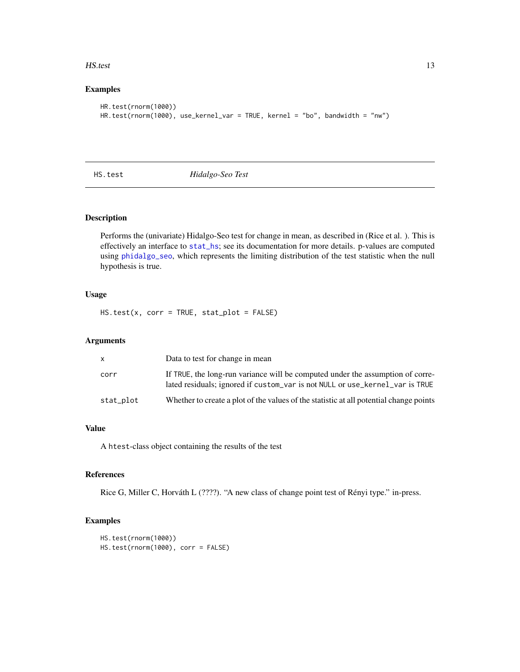#### <span id="page-12-0"></span>HS.test 13

# Examples

```
HR.test(rnorm(1000))
HR.test(rnorm(1000), use_kernel_var = TRUE, kernel = "bo", bandwidth = "nw")
```
HS.test *Hidalgo-Seo Test*

# Description

Performs the (univariate) Hidalgo-Seo test for change in mean, as described in (Rice et al. ). This is effectively an interface to [stat\\_hs](#page-26-1); see its documentation for more details. p-values are computed using [phidalgo\\_seo](#page-13-2), which represents the limiting distribution of the test statistic when the null hypothesis is true.

# Usage

HS.test(x, corr = TRUE, stat\_plot = FALSE)

# Arguments

|           | Data to test for change in mean                                                                                                                                |
|-----------|----------------------------------------------------------------------------------------------------------------------------------------------------------------|
| corr      | If TRUE, the long-run variance will be computed under the assumption of corre-<br>lated residuals; ignored if custom_var is not NULL or use_kernel_var is TRUE |
| stat_plot | Whether to create a plot of the values of the statistic at all potential change points                                                                         |

#### Value

A htest-class object containing the results of the test

#### References

Rice G, Miller C, Horváth L (????). "A new class of change point test of Rényi type." in-press.

```
HS.test(rnorm(1000))
HS.test(rnorm(1000), corr = FALSE)
```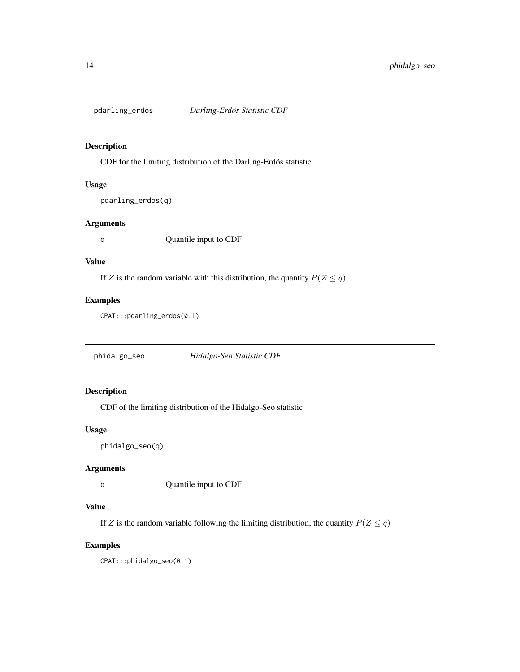<span id="page-13-1"></span><span id="page-13-0"></span>

CDF for the limiting distribution of the Darling-Erdös statistic.

# Usage

```
pdarling_erdos(q)
```
# Arguments

q Quantile input to CDF

## Value

If Z is the random variable with this distribution, the quantity  $P(Z \le q)$ 

# Examples

CPAT:::pdarling\_erdos(0.1)

<span id="page-13-2"></span>phidalgo\_seo *Hidalgo-Seo Statistic CDF*

# Description

CDF of the limiting distribution of the Hidalgo-Seo statistic

# Usage

```
phidalgo_seo(q)
```
# Arguments

q Quantile input to CDF

# Value

If Z is the random variable following the limiting distribution, the quantity  $P(Z \le q)$ 

# Examples

CPAT:::phidalgo\_seo(0.1)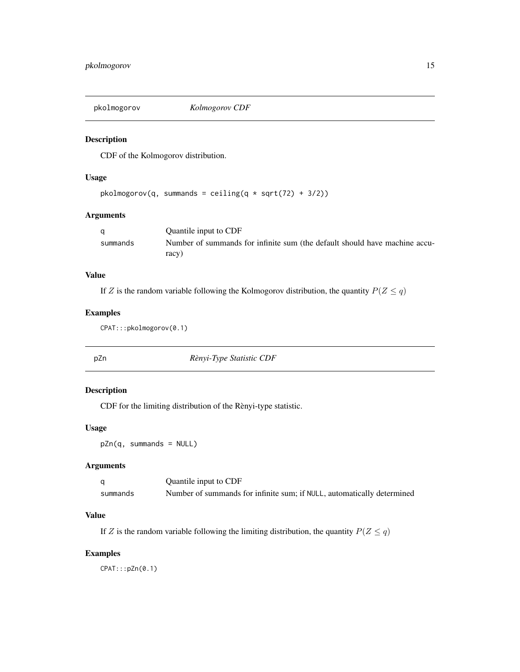<span id="page-14-1"></span><span id="page-14-0"></span>

CDF of the Kolmogorov distribution.

# Usage

```
pkolmogorov(q, summands = ceiling(q * sqrt(72) + 3/2))
```
# Arguments

|          | Quantile input to CDF                                                      |
|----------|----------------------------------------------------------------------------|
| summands | Number of summands for infinite sum (the default should have machine accu- |
|          | racy)                                                                      |

# Value

If Z is the random variable following the Kolmogorov distribution, the quantity  $P(Z \le q)$ 

# Examples

CPAT:::pkolmogorov(0.1)

<span id="page-14-2"></span>pZn *Rènyi-Type Statistic CDF*

# Description

CDF for the limiting distribution of the Rènyi-type statistic.

#### Usage

pZn(q, summands = NULL)

#### Arguments

|          | Quantile input to CDF                                                  |
|----------|------------------------------------------------------------------------|
| summands | Number of summands for infinite sum: if NULL, automatically determined |

# Value

If Z is the random variable following the limiting distribution, the quantity  $P(Z \le q)$ 

# Examples

CPAT:::pZn(0.1)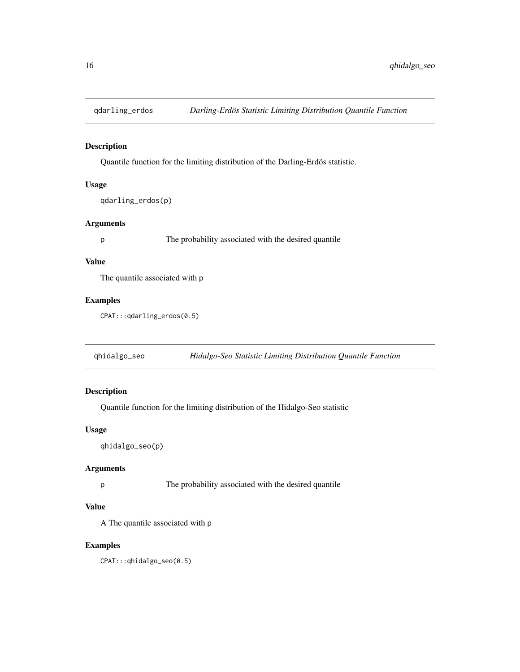<span id="page-15-0"></span>

Quantile function for the limiting distribution of the Darling-Erdös statistic.

#### Usage

qdarling\_erdos(p)

#### Arguments

p The probability associated with the desired quantile

## Value

The quantile associated with p

# Examples

CPAT:::qdarling\_erdos(0.5)

qhidalgo\_seo *Hidalgo-Seo Statistic Limiting Distribution Quantile Function*

# Description

Quantile function for the limiting distribution of the Hidalgo-Seo statistic

#### Usage

```
qhidalgo_seo(p)
```
# Arguments

p The probability associated with the desired quantile

# Value

A The quantile associated with p

# Examples

CPAT:::qhidalgo\_seo(0.5)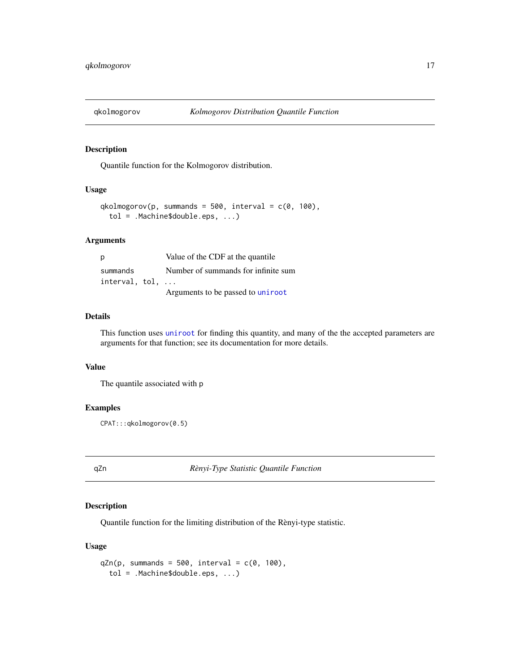<span id="page-16-0"></span>

Quantile function for the Kolmogorov distribution.

#### Usage

```
qkolmogorov(p, summands = 500, interval = c(0, 100),
  tol = .Machine$double.eps, ...)
```
### Arguments

| p              | Value of the CDF at the quantile    |
|----------------|-------------------------------------|
| summands       | Number of summands for infinite sum |
| interval, tol, |                                     |
|                | Arguments to be passed to uniroot   |

#### Details

This function uses [uniroot](#page-0-0) for finding this quantity, and many of the the accepted parameters are arguments for that function; see its documentation for more details.

#### Value

The quantile associated with p

# Examples

CPAT:::qkolmogorov(0.5)

qZn *Rènyi-Type Statistic Quantile Function*

#### Description

Quantile function for the limiting distribution of the Rènyi-type statistic.

# Usage

```
qZn(p, summands = 500, interval = c(0, 100),tol = .Machine$double.eps, ...)
```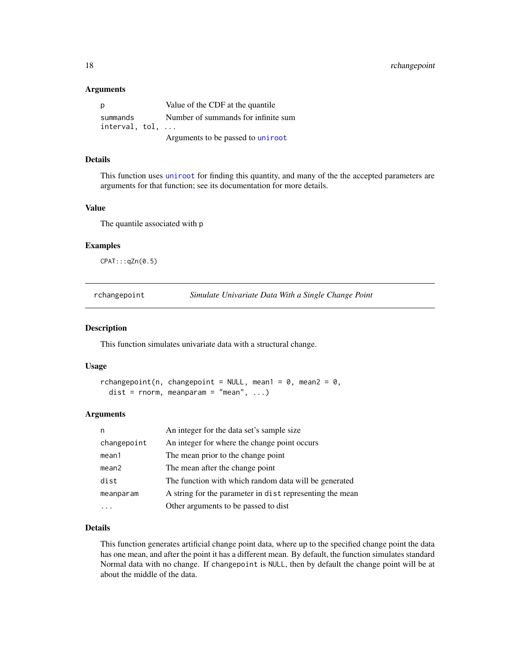#### <span id="page-17-0"></span>Arguments

| p              | Value of the CDF at the quantile    |
|----------------|-------------------------------------|
| summands       | Number of summands for infinite sum |
| interval, tol, |                                     |
|                | Arguments to be passed to uniroot   |

#### Details

This function uses [uniroot](#page-0-0) for finding this quantity, and many of the the accepted parameters are arguments for that function; see its documentation for more details.

#### Value

The quantile associated with p

#### Examples

CPAT:::qZn(0.5)

rchangepoint *Simulate Univariate Data With a Single Change Point*

#### Description

This function simulates univariate data with a structural change.

#### Usage

```
rchangepoint(n, changepoint = NULL, mean1 = 0, mean2 = 0,
  dist = rnorm, meanparam = "mean", \dots)
```
#### Arguments

| n           | An integer for the data set's sample size                |
|-------------|----------------------------------------------------------|
| changepoint | An integer for where the change point occurs             |
| mean1       | The mean prior to the change point                       |
| mean2       | The mean after the change point                          |
| dist        | The function with which random data will be generated    |
| meanparam   | A string for the parameter in dist representing the mean |
|             | Other arguments to be passed to dist                     |

# Details

This function generates artificial change point data, where up to the specified change point the data has one mean, and after the point it has a different mean. By default, the function simulates standard Normal data with no change. If changepoint is NULL, then by default the change point will be at about the middle of the data.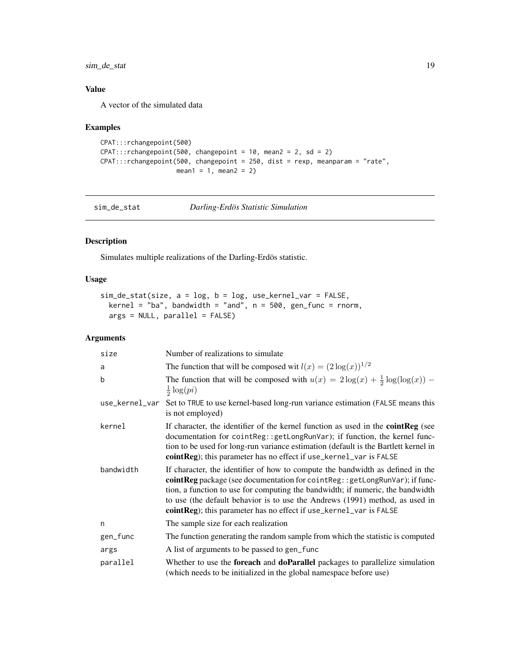<span id="page-18-0"></span>sim\_de\_stat 19

# Value

A vector of the simulated data

# Examples

```
CPAT:::rchangepoint(500)
CPAT::rchangepoint(500, changepoint = 10, mean2 = 2, sd = 2)CPAT:::rchangepoint(500, changepoint = 250, dist = rexp, meanparam = "rate",
                   mean1 = 1, mean2 = 2)
```
sim\_de\_stat *Darling-Erdös Statistic Simulation*

# Description

Simulates multiple realizations of the Darling-Erdös statistic.

# Usage

```
sim_de_stat(size, a = log, b = log, use_kernel_var = FALSE,
 kernel = "ba", bandwidth = "and", n = 500, gen_function = rnorm,args = NULL, parallel = FALSE)
```
# Arguments

| size      | Number of realizations to simulate                                                                                                                                                                                                                                                                                                                                                                    |
|-----------|-------------------------------------------------------------------------------------------------------------------------------------------------------------------------------------------------------------------------------------------------------------------------------------------------------------------------------------------------------------------------------------------------------|
| a         | The function that will be composed wit $l(x) = (2 \log(x))^{1/2}$                                                                                                                                                                                                                                                                                                                                     |
| b         | The function that will be composed with $u(x) = 2\log(x) + \frac{1}{2}\log(\log(x))$ –<br>$rac{1}{2} \log(p_i)$                                                                                                                                                                                                                                                                                       |
|           | use_kernel_var Set to TRUE to use kernel-based long-run variance estimation (FALSE means this<br>is not employed)                                                                                                                                                                                                                                                                                     |
| kernel    | If character, the identifier of the kernel function as used in the <b>cointReg</b> (see<br>documentation for cointReg::getLongRunVar); if function, the kernel func-<br>tion to be used for long-run variance estimation (default is the Bartlett kernel in<br>cointReg); this parameter has no effect if use_kernel_var is FALSE                                                                     |
| bandwidth | If character, the identifier of how to compute the bandwidth as defined in the<br>cointReg package (see documentation for cointReg:: getLongRunVar); if func-<br>tion, a function to use for computing the bandwidth; if numeric, the bandwidth<br>to use (the default behavior is to use the Andrews (1991) method, as used in<br>cointReg); this parameter has no effect if use_kernel_var is FALSE |
| n         | The sample size for each realization                                                                                                                                                                                                                                                                                                                                                                  |
| gen_func  | The function generating the random sample from which the statistic is computed                                                                                                                                                                                                                                                                                                                        |
| args      | A list of arguments to be passed to gen_func                                                                                                                                                                                                                                                                                                                                                          |
| parallel  | Whether to use the <b>foreach</b> and <b>doParallel</b> packages to parallelize simulation<br>(which needs to be initialized in the global namespace before use)                                                                                                                                                                                                                                      |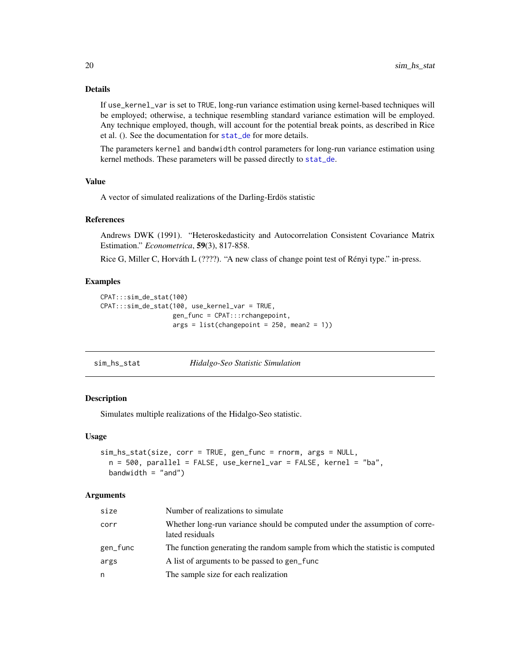# Details

If use\_kernel\_var is set to TRUE, long-run variance estimation using kernel-based techniques will be employed; otherwise, a technique resembling standard variance estimation will be employed. Any technique employed, though, will account for the potential break points, as described in Rice et al. (). See the documentation for [stat\\_de](#page-25-1) for more details.

The parameters kernel and bandwidth control parameters for long-run variance estimation using kernel methods. These parameters will be passed directly to [stat\\_de](#page-25-1).

#### Value

A vector of simulated realizations of the Darling-Erdös statistic

## References

Andrews DWK (1991). "Heteroskedasticity and Autocorrelation Consistent Covariance Matrix Estimation." *Econometrica*, 59(3), 817-858.

Rice G, Miller C, Horváth L (????). "A new class of change point test of Rényi type." in-press.

#### Examples

```
CPAT:::sim_de_stat(100)
CPAT:::sim_de_stat(100, use_kernel_var = TRUE,
                  gen_func = CPAT:::rchangepoint,
                  args = list(chargepoint = 250, mean2 = 1))
```
sim\_hs\_stat *Hidalgo-Seo Statistic Simulation*

#### Description

Simulates multiple realizations of the Hidalgo-Seo statistic.

#### Usage

```
sim_hs_stat(size, corr = TRUE, gen_func = rnorm, args = NULL,
 n = 500, parallel = FALSE, use_kernel_var = FALSE, kernel = "ba",
 bandwidth = "and")
```
#### Arguments

| size     | Number of realizations to simulate                                                             |
|----------|------------------------------------------------------------------------------------------------|
| corr     | Whether long-run variance should be computed under the assumption of corre-<br>lated residuals |
| gen_func | The function generating the random sample from which the statistic is computed                 |
| args     | A list of arguments to be passed to gen func                                                   |
| n        | The sample size for each realization                                                           |

<span id="page-19-0"></span>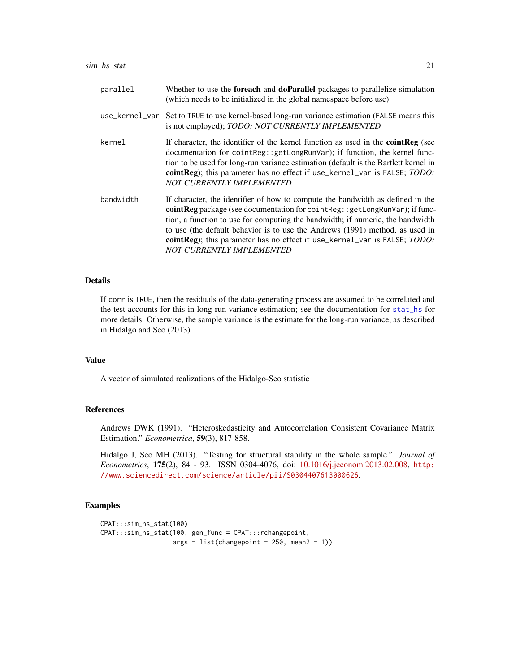<span id="page-20-0"></span>

| parallel  | Whether to use the foreach and doParallel packages to parallelize simulation<br>(which needs to be initialized in the global namespace before use)                                                                                                                                                                                                                                                                                                     |
|-----------|--------------------------------------------------------------------------------------------------------------------------------------------------------------------------------------------------------------------------------------------------------------------------------------------------------------------------------------------------------------------------------------------------------------------------------------------------------|
|           | use_kernel_var Set to TRUE to use kernel-based long-run variance estimation (FALSE means this<br>is not employed); TODO: NOT CURRENTLY IMPLEMENTED                                                                                                                                                                                                                                                                                                     |
| kernel    | If character, the identifier of the kernel function as used in the <b>cointReg</b> (see<br>documentation for cointReg::getLongRunVar); if function, the kernel func-<br>tion to be used for long-run variance estimation (default is the Bartlett kernel in<br>cointReg); this parameter has no effect if use_kernel_var is FALSE; TODO:<br><b>NOT CURRENTLY IMPLEMENTED</b>                                                                           |
| bandwidth | If character, the identifier of how to compute the bandwidth as defined in the<br><b>coint Reg</b> package (see documentation for coint Reg: : $getLongRunVar$ ); if func-<br>tion, a function to use for computing the bandwidth; if numeric, the bandwidth<br>to use (the default behavior is to use the Andrews (1991) method, as used in<br>cointReg); this parameter has no effect if use_kernel_var is FALSE; TODO:<br>NOT CURRENTLY IMPLEMENTED |

#### Details

If corr is TRUE, then the residuals of the data-generating process are assumed to be correlated and the test accounts for this in long-run variance estimation; see the documentation for [stat\\_hs](#page-26-1) for more details. Otherwise, the sample variance is the estimate for the long-run variance, as described in Hidalgo and Seo (2013).

# Value

A vector of simulated realizations of the Hidalgo-Seo statistic

#### References

Andrews DWK (1991). "Heteroskedasticity and Autocorrelation Consistent Covariance Matrix Estimation." *Econometrica*, 59(3), 817-858.

Hidalgo J, Seo MH (2013). "Testing for structural stability in the whole sample." *Journal of Econometrics*, 175(2), 84 - 93. ISSN 0304-4076, doi: [10.1016/j.jeconom.2013.02.008,](http://doi.org/10.1016/j.jeconom.2013.02.008) [http:](http://www.sciencedirect.com/science/article/pii/S0304407613000626) [//www.sciencedirect.com/science/article/pii/S0304407613000626](http://www.sciencedirect.com/science/article/pii/S0304407613000626).

```
CPAT:::sim_hs_stat(100)
CPAT:::sim_hs_stat(100, gen_func = CPAT:::rchangepoint,
                  args = list(chargepoint = 250, mean2 = 1))
```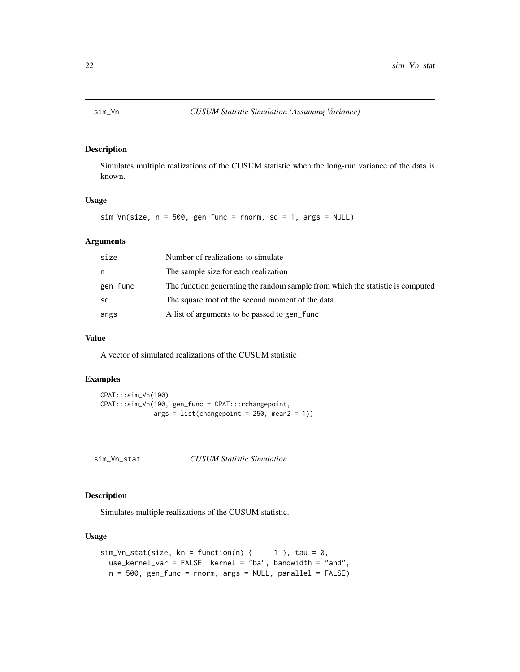<span id="page-21-0"></span>Simulates multiple realizations of the CUSUM statistic when the long-run variance of the data is known.

# Usage

```
sim_Vn(size, n = 500, gen_function = rnorm, sd = 1, args = NULL)
```
#### Arguments

| size     | Number of realizations to simulate                                             |
|----------|--------------------------------------------------------------------------------|
| n        | The sample size for each realization                                           |
| gen_func | The function generating the random sample from which the statistic is computed |
| sd       | The square root of the second moment of the data                               |
| args     | A list of arguments to be passed to gen func                                   |

#### Value

A vector of simulated realizations of the CUSUM statistic

# Examples

```
CPAT:::sim_Vn(100)
CPAT:::sim_Vn(100, gen_func = CPAT:::rchangepoint,
             args = list(chargepoint = 250, mean2 = 1))
```
sim\_Vn\_stat *CUSUM Statistic Simulation*

# Description

Simulates multiple realizations of the CUSUM statistic.

# Usage

```
sim_Vn\_stat(size, kn = function(n) { 1 }, tau = 0,use_kernel_var = FALSE, kernel = "ba", bandwidth = "and",
 n = 500, gen_func = rnorm, args = NULL, parallel = FALSE)
```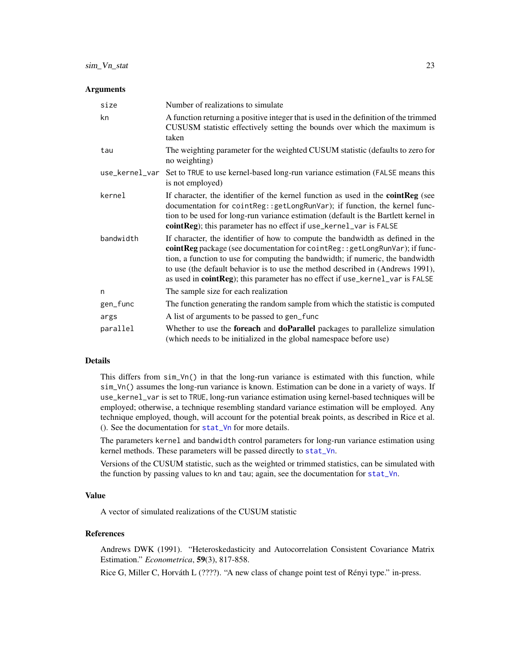#### <span id="page-22-0"></span>Arguments

| size           | Number of realizations to simulate                                                                                                                                                                                                                                                                                                                                                                                 |
|----------------|--------------------------------------------------------------------------------------------------------------------------------------------------------------------------------------------------------------------------------------------------------------------------------------------------------------------------------------------------------------------------------------------------------------------|
| kn             | A function returning a positive integer that is used in the definition of the trimmed<br>CUSUSM statistic effectively setting the bounds over which the maximum is<br>taken                                                                                                                                                                                                                                        |
| tau            | The weighting parameter for the weighted CUSUM statistic (defaults to zero for<br>no weighting)                                                                                                                                                                                                                                                                                                                    |
| use_kernel_var | Set to TRUE to use kernel-based long-run variance estimation (FALSE means this<br>is not employed)                                                                                                                                                                                                                                                                                                                 |
| kernel         | If character, the identifier of the kernel function as used in the <b>cointReg</b> (see<br>documentation for cointReg::getLongRunVar); if function, the kernel func-<br>tion to be used for long-run variance estimation (default is the Bartlett kernel in<br>cointReg); this parameter has no effect if use_kernel_var is FALSE                                                                                  |
| bandwidth      | If character, the identifier of how to compute the bandwidth as defined in the<br>cointReg package (see documentation for cointReg:: getLongRunVar); if func-<br>tion, a function to use for computing the bandwidth; if numeric, the bandwidth<br>to use (the default behavior is to use the method described in (Andrews 1991),<br>as used in cointReg); this parameter has no effect if use_kernel_var is FALSE |
| n              | The sample size for each realization                                                                                                                                                                                                                                                                                                                                                                               |
| gen_func       | The function generating the random sample from which the statistic is computed                                                                                                                                                                                                                                                                                                                                     |
| args           | A list of arguments to be passed to gen_func                                                                                                                                                                                                                                                                                                                                                                       |
| parallel       | Whether to use the foreach and doParallel packages to parallelize simulation<br>(which needs to be initialized in the global namespace before use)                                                                                                                                                                                                                                                                 |

#### Details

This differs from  $\sin \sqrt{1}$  in that the long-run variance is estimated with this function, while sim\_Vn() assumes the long-run variance is known. Estimation can be done in a variety of ways. If use\_kernel\_var is set to TRUE, long-run variance estimation using kernel-based techniques will be employed; otherwise, a technique resembling standard variance estimation will be employed. Any technique employed, though, will account for the potential break points, as described in Rice et al. (). See the documentation for [stat\\_Vn](#page-28-1) for more details.

The parameters kernel and bandwidth control parameters for long-run variance estimation using kernel methods. These parameters will be passed directly to [stat\\_Vn](#page-28-1).

Versions of the CUSUM statistic, such as the weighted or trimmed statistics, can be simulated with the function by passing values to kn and tau; again, see the documentation for [stat\\_Vn](#page-28-1).

# Value

A vector of simulated realizations of the CUSUM statistic

#### References

Andrews DWK (1991). "Heteroskedasticity and Autocorrelation Consistent Covariance Matrix Estimation." *Econometrica*, 59(3), 817-858.

Rice G, Miller C, Horváth L (????). "A new class of change point test of Rényi type." in-press.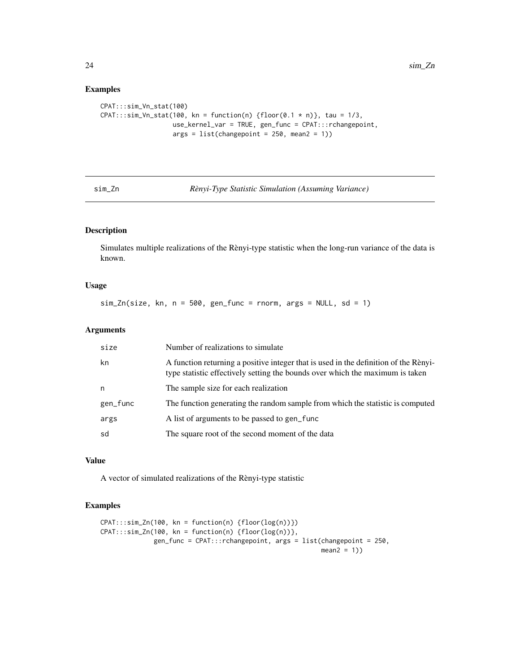# Examples

```
CPAT:::sim_Vn_stat(100)
CPAT:::sim_Vn_stat(100, kn = function(n) {floor(0.1 * n)}, tau = 1/3,
                  use_kernel_var = TRUE, gen_func = CPAT:::rchangepoint,
                  args = list(chargepoint = 250, mean2 = 1))
```
sim\_Zn *Rènyi-Type Statistic Simulation (Assuming Variance)*

# Description

Simulates multiple realizations of the Rènyi-type statistic when the long-run variance of the data is known.

# Usage

 $sim_Zn(size, kn, n = 500, gen_func = rnorm, args = NULL, sd = 1)$ 

# Arguments

| size     | Number of realizations to simulate                                                                                                                                    |
|----------|-----------------------------------------------------------------------------------------------------------------------------------------------------------------------|
| kn       | A function returning a positive integer that is used in the definition of the Rènyi-<br>type statistic effectively setting the bounds over which the maximum is taken |
| n        | The sample size for each realization                                                                                                                                  |
| gen_func | The function generating the random sample from which the statistic is computed                                                                                        |
| args     | A list of arguments to be passed to gen_func                                                                                                                          |
| sd       | The square root of the second moment of the data                                                                                                                      |

#### Value

A vector of simulated realizations of the Rènyi-type statistic

```
CPAT:::sim_Zn(100, kn = function(n) {floor(log(n))})
CPAT:::sim\_Zn(100, kn = function(n) {floor(log(n))},gen_func = CPAT:::rchangepoint, args = list(changepoint = 250,
                                                         mean2 = 1)
```
<span id="page-23-0"></span>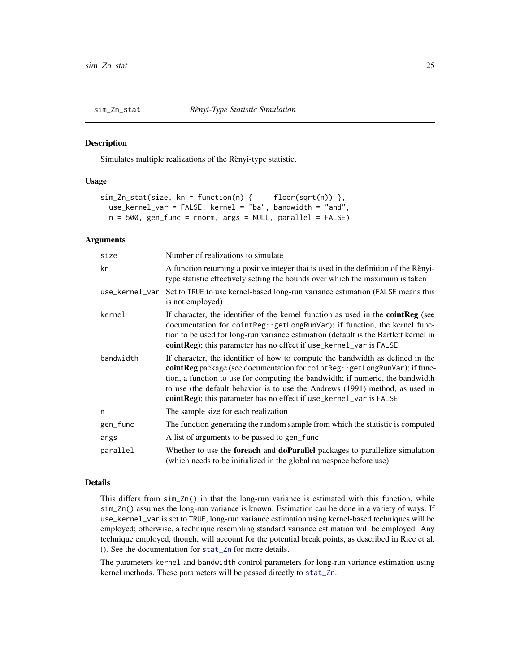<span id="page-24-0"></span>

Simulates multiple realizations of the Rènyi-type statistic.

#### Usage

```
sim_Zn\_stat(size, kn = function(n) { floor(sqrt(n)) },
 use_kernel_var = FALSE, kernel = "ba", bandwidth = "and",
 n = 500, gen_func = rnorm, args = NULL, parallel = FALSE)
```
#### Arguments

| size           | Number of realizations to simulate                                                                                                                                                                                                                                                                                                                                                                    |
|----------------|-------------------------------------------------------------------------------------------------------------------------------------------------------------------------------------------------------------------------------------------------------------------------------------------------------------------------------------------------------------------------------------------------------|
| kn             | A function returning a positive integer that is used in the definition of the Rènyi-<br>type statistic effectively setting the bounds over which the maximum is taken                                                                                                                                                                                                                                 |
| use_kernel_var | Set to TRUE to use kernel-based long-run variance estimation (FALSE means this<br>is not employed)                                                                                                                                                                                                                                                                                                    |
| kernel         | If character, the identifier of the kernel function as used in the <b>cointReg</b> (see<br>documentation for cointReg::getLongRunVar); if function, the kernel func-<br>tion to be used for long-run variance estimation (default is the Bartlett kernel in<br><b>cointReg</b> ); this parameter has no effect if use_kernel_var is FALSE                                                             |
| bandwidth      | If character, the identifier of how to compute the bandwidth as defined in the<br>cointReg package (see documentation for cointReg:: getLongRunVar); if func-<br>tion, a function to use for computing the bandwidth; if numeric, the bandwidth<br>to use (the default behavior is to use the Andrews (1991) method, as used in<br>cointReg); this parameter has no effect if use_kernel_var is FALSE |
| n              | The sample size for each realization                                                                                                                                                                                                                                                                                                                                                                  |
| gen_func       | The function generating the random sample from which the statistic is computed                                                                                                                                                                                                                                                                                                                        |
| args           | A list of arguments to be passed to gen_func                                                                                                                                                                                                                                                                                                                                                          |
| parallel       | Whether to use the <b>foreach</b> and <b>doParallel</b> packages to parallelize simulation<br>(which needs to be initialized in the global namespace before use)                                                                                                                                                                                                                                      |

# Details

This differs from sim\_Zn() in that the long-run variance is estimated with this function, while sim\_Zn() assumes the long-run variance is known. Estimation can be done in a variety of ways. If use\_kernel\_var is set to TRUE, long-run variance estimation using kernel-based techniques will be employed; otherwise, a technique resembling standard variance estimation will be employed. Any technique employed, though, will account for the potential break points, as described in Rice et al. (). See the documentation for [stat\\_Zn](#page-30-1) for more details.

The parameters kernel and bandwidth control parameters for long-run variance estimation using kernel methods. These parameters will be passed directly to [stat\\_Zn](#page-30-1).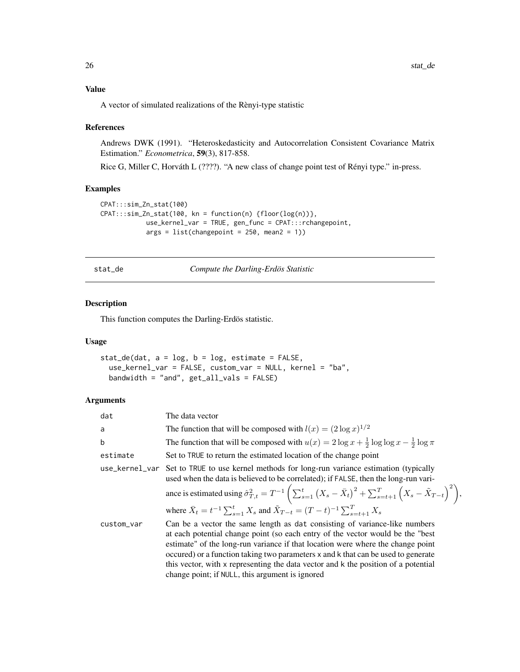## Value

A vector of simulated realizations of the Rènyi-type statistic

#### References

Andrews DWK (1991). "Heteroskedasticity and Autocorrelation Consistent Covariance Matrix Estimation." *Econometrica*, 59(3), 817-858.

Rice G, Miller C, Horváth L (????). "A new class of change point test of Rényi type." in-press.

#### Examples

```
CPAT:::sim_Zn_stat(100)
CPAT:::sim_Zn_stat(100, kn = function(n) {floor(log(n))},
           use_kernel_var = TRUE, gen_func = CPAT:::rchangepoint,
            args = list(chargepoint = 250, mean2 = 1))
```
<span id="page-25-1"></span>stat\_de *Compute the Darling-Erdös Statistic*

# Description

This function computes the Darling-Erdös statistic.

# Usage

```
stat_de(dat, a = log, b = log, estimate = FALSE,
 use_kernel_var = FALSE, custom_var = NULL, kernel = "ba",
 bandwidth = "and", get_all_vals = FALSE)
```
#### Arguments

| dat        | The data vector                                                                                                                                                                                                                                                                                                                                                                                                                                                                |
|------------|--------------------------------------------------------------------------------------------------------------------------------------------------------------------------------------------------------------------------------------------------------------------------------------------------------------------------------------------------------------------------------------------------------------------------------------------------------------------------------|
| a          | The function that will be composed with $l(x) = (2 \log x)^{1/2}$                                                                                                                                                                                                                                                                                                                                                                                                              |
| b          | The function that will be composed with $u(x) = 2 \log x + \frac{1}{2} \log \log x - \frac{1}{2} \log \pi$                                                                                                                                                                                                                                                                                                                                                                     |
| estimate   | Set to TRUE to return the estimated location of the change point                                                                                                                                                                                                                                                                                                                                                                                                               |
|            | use_kernel_var Set to TRUE to use kernel methods for long-run variance estimation (typically<br>used when the data is believed to be correlated); if FALSE, then the long-run vari-                                                                                                                                                                                                                                                                                            |
|            | ance is estimated using $\hat{\sigma}_{T,t}^2 = T^{-1} \left( \sum_{s=1}^t (X_s - \bar{X}_t)^2 + \sum_{s=t+1}^T (X_s - \tilde{X}_{T-t})^2 \right),$                                                                                                                                                                                                                                                                                                                            |
|            | where $\bar{X}_t = t^{-1} \sum_{s=1}^t X_s$ and $\tilde{X}_{T-t} = (T-t)^{-1} \sum_{s=t+1}^T X_s$                                                                                                                                                                                                                                                                                                                                                                              |
| custom_var | Can be a vector the same length as dat consisting of variance-like numbers<br>at each potential change point (so each entry of the vector would be the "best"<br>estimate" of the long-run variance if that location were where the change point<br>occured) or a function taking two parameters x and k that can be used to generate<br>this vector, with x representing the data vector and k the position of a potential<br>change point; if NULL, this argument is ignored |

<span id="page-25-0"></span>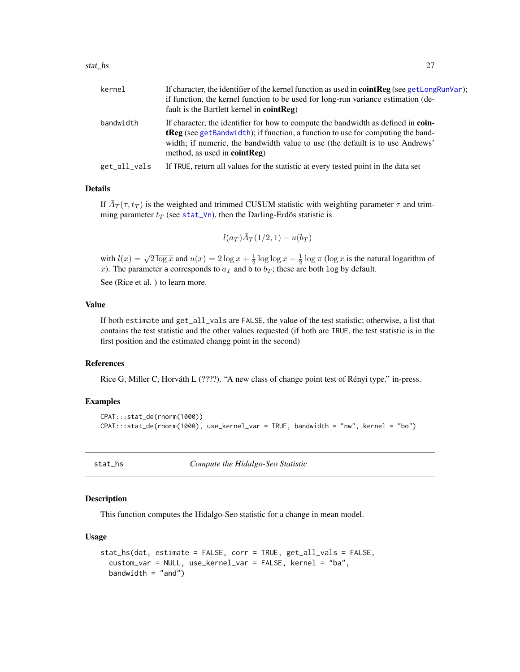#### <span id="page-26-0"></span>stat\_hs 27

| kernel       | If character, the identifier of the kernel function as used in <b>coint Reg</b> (see getLongRunVar); |
|--------------|------------------------------------------------------------------------------------------------------|
|              | if function, the kernel function to be used for long-run variance estimation (de-                    |
|              | fault is the Bartlett kernel in $cointReg$ )                                                         |
| bandwidth    | If character, the identifier for how to compute the bandwidth as defined in coin-                    |
|              | <b>tReg</b> (see getBandwidth); if function, a function to use for computing the band-               |
|              | width; if numeric, the bandwidth value to use (the default is to use Andrews'                        |
|              | method, as used in $cointReg$ )                                                                      |
| get_all_vals | If TRUE, return all values for the statistic at every tested point in the data set                   |

#### Details

If  $\bar{A}_T(\tau, t_T)$  is the weighted and trimmed CUSUM statistic with weighting parameter  $\tau$  and trimming parameter  $t_T$  (see [stat\\_Vn](#page-28-1)), then the Darling-Erdös statistic is

$$
l(a_T)\bar{A}_T(1/2,1) - u(b_T)
$$

with  $l(x) = \sqrt{2 \log x}$  and  $u(x) = 2 \log x + \frac{1}{2} \log \log x - \frac{1}{2} \log \pi$  (log x is the natural logarithm of x). The parameter a corresponds to  $a_T$  and b to  $b_T$ ; these are both log by default.

See (Rice et al. ) to learn more.

#### Value

If both estimate and get\_all\_vals are FALSE, the value of the test statistic; otherwise, a list that contains the test statistic and the other values requested (if both are TRUE, the test statistic is in the first position and the estimated changg point in the second)

# References

Rice G, Miller C, Horváth L (????). "A new class of change point test of Rényi type." in-press.

# Examples

```
CPAT:::stat_de(rnorm(1000))
CPAT:::stat_de(rnorm(1000), use_kernel_var = TRUE, bandwidth = "nw", kernel = "bo")
```
<span id="page-26-1"></span>

stat\_hs *Compute the Hidalgo-Seo Statistic*

# **Description**

This function computes the Hidalgo-Seo statistic for a change in mean model.

#### Usage

```
stat_hs(dat, estimate = FALSE, corr = TRUE, get_all_vals = FALSE,
  custom_var = NULL, use_kernel_var = FALSE, kernel = "ba",
 bandwidth = "and")
```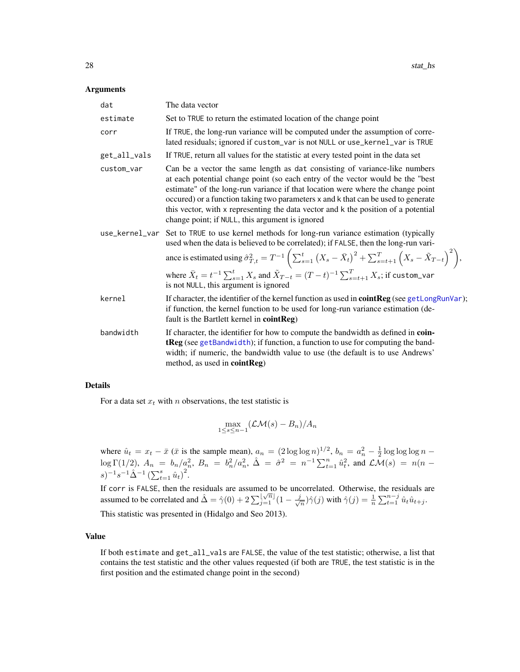#### <span id="page-27-0"></span>Arguments

| dat          | The data vector                                                                                                                                                                                                                                                                                                                                                                                                                                                                                                      |  |
|--------------|----------------------------------------------------------------------------------------------------------------------------------------------------------------------------------------------------------------------------------------------------------------------------------------------------------------------------------------------------------------------------------------------------------------------------------------------------------------------------------------------------------------------|--|
| estimate     | Set to TRUE to return the estimated location of the change point                                                                                                                                                                                                                                                                                                                                                                                                                                                     |  |
| corr         | If TRUE, the long-run variance will be computed under the assumption of corre-<br>lated residuals; ignored if custom_var is not NULL or use_kernel_var is TRUE                                                                                                                                                                                                                                                                                                                                                       |  |
| get_all_vals | If TRUE, return all values for the statistic at every tested point in the data set                                                                                                                                                                                                                                                                                                                                                                                                                                   |  |
| custom var   | Can be a vector the same length as dat consisting of variance-like numbers<br>at each potential change point (so each entry of the vector would be the "best<br>estimate" of the long-run variance if that location were where the change point<br>occured) or a function taking two parameters x and k that can be used to generate<br>this vector, with x representing the data vector and k the position of a potential<br>change point; if NULL, this argument is ignored                                        |  |
|              | use_kernel_var Set to TRUE to use kernel methods for long-run variance estimation (typically<br>used when the data is believed to be correlated); if FALSE, then the long-run vari-<br>ance is estimated using $\hat{\sigma}_{T,t}^2 = T^{-1} \left( \sum_{s=1}^t (X_s - \bar{X}_t)^2 + \sum_{s=t+1}^T (X_s - \tilde{X}_{T-t})^2 \right),$<br>where $\bar{X}_t = t^{-1} \sum_{s=1}^t X_s$ and $\tilde{X}_{T-t} = (T-t)^{-1} \sum_{s=t+1}^T X_s;$ if <code>custom_var</code><br>is not NULL, this argument is ignored |  |
| kernel       | If character, the identifier of the kernel function as used in <b>cointReg</b> (see getLongRunVar);<br>if function, the kernel function to be used for long-run variance estimation (de-<br>fault is the Bartlett kernel in $cointReg$ )                                                                                                                                                                                                                                                                             |  |
| bandwidth    | If character, the identifier for how to compute the bandwidth as defined in coin-<br>tReg (see getBandwidth); if function, a function to use for computing the band-<br>width; if numeric, the bandwidth value to use (the default is to use Andrews'<br>method, as used in cointReg)                                                                                                                                                                                                                                |  |

#### Details

For a data set  $x_t$  with n observations, the test statistic is

$$
\max_{1 \leq s \leq n-1} (\mathcal{L}\mathcal{M}(s) - B_n)/A_n
$$

where  $\hat{u}_t = x_t - \bar{x}$  ( $\bar{x}$  is the sample mean),  $a_n = (2 \log \log n)^{1/2}$ ,  $b_n = a_n^2 - \frac{1}{2} \log \log \log n$  $\log \Gamma(1/2)$ ,  $A_n = b_n/a_n^2$ ,  $B_n = b_n^2/a_n^2$ ,  $\hat{\Delta} = \hat{\sigma}^2 = n^{-1} \sum_{t=1}^n \hat{u}_t^2$ , and  $\mathcal{LM}(s) = n(n - 1)$  $(s)^{-1} s^{-1} \hat{\Delta}^{-1} \left( \sum_{t=1}^{s} \hat{u}_t \right)^2$ .

If corr is FALSE, then the residuals are assumed to be uncorrelated. Otherwise, the residuals are assumed to be correlated and  $\hat{\Delta} = \hat{\gamma}(0) + 2\sum_{j=1}^{\lfloor \sqrt{n} \rfloor} (1 - \frac{j}{\sqrt{n}})$  $(\frac{\pi}{n})\hat{\gamma}(j)$  with  $\hat{\gamma}(j) = \frac{1}{n}\sum_{t=1}^{n-j} \hat{u}_t \hat{u}_{t+j}$ .

This statistic was presented in (Hidalgo and Seo 2013).

# Value

If both estimate and get\_all\_vals are FALSE, the value of the test statistic; otherwise, a list that contains the test statistic and the other values requested (if both are TRUE, the test statistic is in the first position and the estimated change point in the second)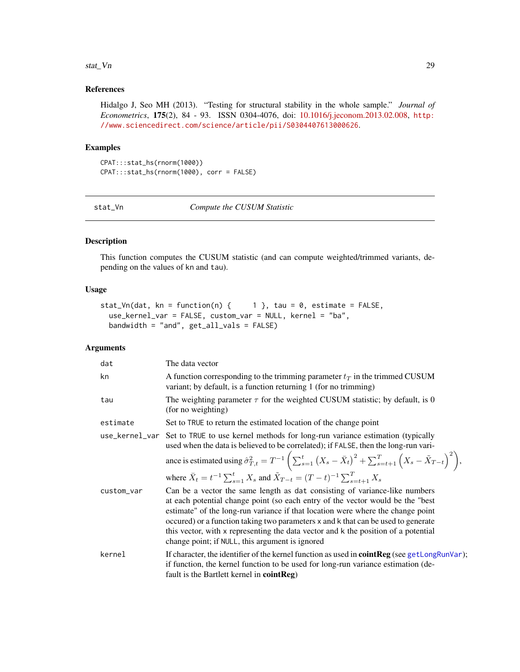#### <span id="page-28-0"></span>stat\_Vn 29

# References

Hidalgo J, Seo MH (2013). "Testing for structural stability in the whole sample." *Journal of Econometrics*, 175(2), 84 - 93. ISSN 0304-4076, doi: [10.1016/j.jeconom.2013.02.008,](http://doi.org/10.1016/j.jeconom.2013.02.008) [http:](http://www.sciencedirect.com/science/article/pii/S0304407613000626) [//www.sciencedirect.com/science/article/pii/S0304407613000626](http://www.sciencedirect.com/science/article/pii/S0304407613000626).

#### Examples

CPAT:::stat\_hs(rnorm(1000)) CPAT:::stat\_hs(rnorm(1000), corr = FALSE)

<span id="page-28-1"></span>stat\_Vn *Compute the CUSUM Statistic*

# Description

This function computes the CUSUM statistic (and can compute weighted/trimmed variants, depending on the values of kn and tau).

# Usage

```
stat_Vn(dat, kn = function(n) { 1 }, tau = 0, estimate = FALSE,
 use_kernel_var = FALSE, custom_var = NULL, kernel = "ba",
 bandwidth = "and", get_all_vals = FALSE)
```
# Arguments

| dat        | The data vector                                                                                                                                                                                                                                                                                                                                                                                                                                                                |
|------------|--------------------------------------------------------------------------------------------------------------------------------------------------------------------------------------------------------------------------------------------------------------------------------------------------------------------------------------------------------------------------------------------------------------------------------------------------------------------------------|
| kn         | A function corresponding to the trimming parameter $t_T$ in the trimmed CUSUM<br>variant; by default, is a function returning 1 (for no trimming)                                                                                                                                                                                                                                                                                                                              |
| tau        | The weighting parameter $\tau$ for the weighted CUSUM statistic; by default, is 0<br>(for no weighting)                                                                                                                                                                                                                                                                                                                                                                        |
| estimate   | Set to TRUE to return the estimated location of the change point                                                                                                                                                                                                                                                                                                                                                                                                               |
|            | use_kernel_var Set to TRUE to use kernel methods for long-run variance estimation (typically<br>used when the data is believed to be correlated); if FALSE, then the long-run vari-                                                                                                                                                                                                                                                                                            |
|            | ance is estimated using $\hat{\sigma}_{T,t}^2 = T^{-1} \left( \sum_{s=1}^t (X_s - \bar{X}_t)^2 + \sum_{s=t+1}^T (X_s - \tilde{X}_{T-t})^2 \right),$                                                                                                                                                                                                                                                                                                                            |
|            | where $\bar{X}_t = t^{-1} \sum_{s=1}^t X_s$ and $\tilde{X}_{T-t} = (T-t)^{-1} \sum_{s=t+1}^T X_s$                                                                                                                                                                                                                                                                                                                                                                              |
| custom_var | Can be a vector the same length as dat consisting of variance-like numbers<br>at each potential change point (so each entry of the vector would be the "best"<br>estimate" of the long-run variance if that location were where the change point<br>occured) or a function taking two parameters x and k that can be used to generate<br>this vector, with x representing the data vector and k the position of a potential<br>change point; if NULL, this argument is ignored |
| kernel     | If character, the identifier of the kernel function as used in <b>cointReg</b> (see getLongRunVar);<br>if function, the kernel function to be used for long-run variance estimation (de-<br>fault is the Bartlett kernel in $cointReg$ )                                                                                                                                                                                                                                       |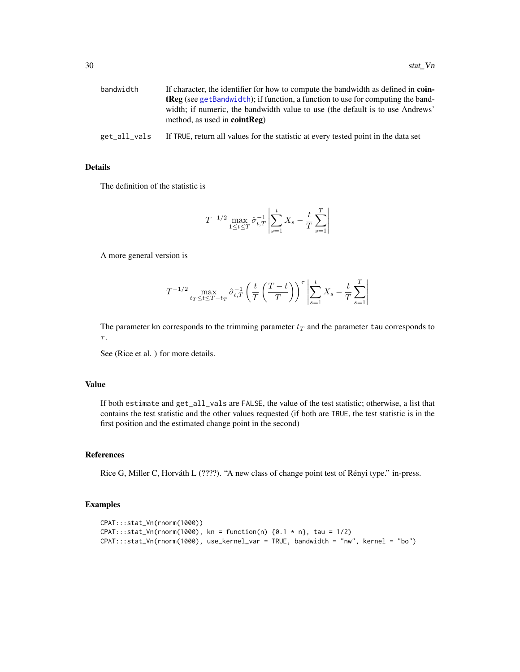<span id="page-29-0"></span>

| bandwidth    | If character, the identifier for how to compute the bandwidth as defined in coin-<br><b>tReg</b> (see getBandwidth); if function, a function to use for computing the band-<br>width; if numeric, the bandwidth value to use (the default is to use Andrews'<br>method, as used in $cointReg$ ) |
|--------------|-------------------------------------------------------------------------------------------------------------------------------------------------------------------------------------------------------------------------------------------------------------------------------------------------|
| get_all_vals | If TRUE, return all values for the statistic at every tested point in the data set                                                                                                                                                                                                              |
|              |                                                                                                                                                                                                                                                                                                 |

#### Details

The definition of the statistic is

$$
T^{-1/2} \max_{1 \le t \le T} \hat{\sigma}_{t,T}^{-1} \left| \sum_{s=1}^{t} X_s - \frac{t}{T} \sum_{s=1}^{T} \right|
$$

A more general version is

$$
T^{-1/2} \max_{t_T \le t \le T - t_T} \hat{\sigma}_{t,T}^{-1} \left( \frac{t}{T} \left( \frac{T-t}{T} \right) \right)^{\tau} \left| \sum_{s=1}^t X_s - \frac{t}{T} \sum_{s=1}^T \right|
$$

The parameter kn corresponds to the trimming parameter  $t_T$  and the parameter tau corresponds to  $\tau$ .

See (Rice et al. ) for more details.

#### Value

If both estimate and get\_all\_vals are FALSE, the value of the test statistic; otherwise, a list that contains the test statistic and the other values requested (if both are TRUE, the test statistic is in the first position and the estimated change point in the second)

#### References

Rice G, Miller C, Horváth L (????). "A new class of change point test of Rényi type." in-press.

```
CPAT:::stat_Vn(rnorm(1000))
CPAT:::stat\_Vn(rnorm(1000), kn = function(n) {0.1 * n}, tau = 1/2)CPAT:::stat_Vn(rnorm(1000), use_kernel_var = TRUE, bandwidth = "nw", kernel = "bo")
```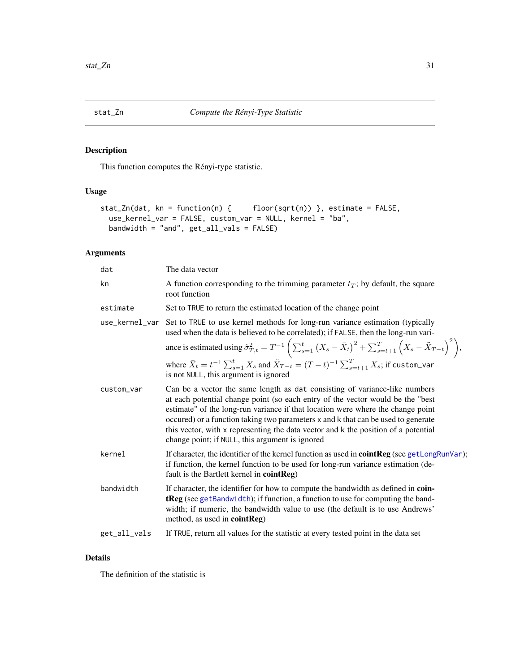<span id="page-30-1"></span><span id="page-30-0"></span>This function computes the Rényi-type statistic.

# Usage

```
stat_Zn(dat, kn = function(n) { floor(sqrt(n)) }, estimate = FALSE,
 use_kernel_var = FALSE, custom_var = NULL, kernel = "ba",
 bandwidth = "and", get_all_vals = FALSE)
```
# Arguments

| The data vector                                                                                                                                                                                                                                                                                                                                                                                                                                                                |  |
|--------------------------------------------------------------------------------------------------------------------------------------------------------------------------------------------------------------------------------------------------------------------------------------------------------------------------------------------------------------------------------------------------------------------------------------------------------------------------------|--|
| A function corresponding to the trimming parameter $t_T$ ; by default, the square<br>root function                                                                                                                                                                                                                                                                                                                                                                             |  |
| Set to TRUE to return the estimated location of the change point                                                                                                                                                                                                                                                                                                                                                                                                               |  |
| use_kernel_var Set to TRUE to use kernel methods for long-run variance estimation (typically<br>used when the data is believed to be correlated); if FALSE, then the long-run vari-                                                                                                                                                                                                                                                                                            |  |
| ance is estimated using $\hat{\sigma}_{T,t}^2 = T^{-1} \left( \sum_{s=1}^t (X_s - \bar{X}_t)^2 + \sum_{s=t+1}^T (X_s - \tilde{X}_{T-t})^2 \right),$                                                                                                                                                                                                                                                                                                                            |  |
| where $\bar{X}_t = t^{-1} \sum_{s=1}^t X_s$ and $\tilde{X}_{T-t} = (T-t)^{-1} \sum_{s=t+1}^T X_s$ ; if custom_var<br>is not NULL, this argument is ignored                                                                                                                                                                                                                                                                                                                     |  |
| Can be a vector the same length as dat consisting of variance-like numbers<br>at each potential change point (so each entry of the vector would be the "best"<br>estimate" of the long-run variance if that location were where the change point<br>occured) or a function taking two parameters x and k that can be used to generate<br>this vector, with x representing the data vector and k the position of a potential<br>change point; if NULL, this argument is ignored |  |
| If character, the identifier of the kernel function as used in <b>cointReg</b> (see getLongRunVar);<br>if function, the kernel function to be used for long-run variance estimation (de-<br>fault is the Bartlett kernel in cointReg)                                                                                                                                                                                                                                          |  |
| If character, the identifier for how to compute the bandwidth as defined in coin-<br>tReg (see getBandwidth); if function, a function to use for computing the band-<br>width; if numeric, the bandwidth value to use (the default is to use Andrews'<br>method, as used in cointReg)                                                                                                                                                                                          |  |
| If TRUE, return all values for the statistic at every tested point in the data set                                                                                                                                                                                                                                                                                                                                                                                             |  |
|                                                                                                                                                                                                                                                                                                                                                                                                                                                                                |  |

#### Details

The definition of the statistic is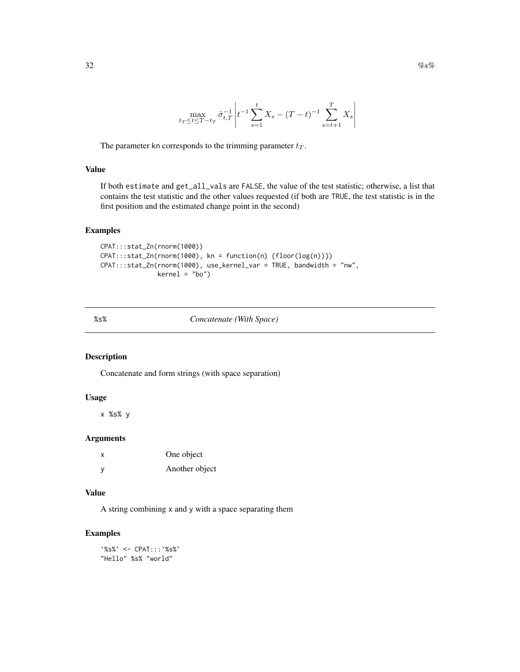<span id="page-31-0"></span>
$$
\frac{32}{}
$$

$$
\max_{t_T \le t \le T - t_T} \hat{\sigma}_{t,T}^{-1} \left| t^{-1} \sum_{s=1}^t X_s - (T - t)^{-1} \sum_{s=t+1}^T X_s \right|
$$

The parameter kn corresponds to the trimming parameter  $t_T$ .

# Value

If both estimate and get\_all\_vals are FALSE, the value of the test statistic; otherwise, a list that contains the test statistic and the other values requested (if both are TRUE, the test statistic is in the first position and the estimated change point in the second)

#### Examples

```
CPAT:::stat_Zn(rnorm(1000))
CPAT:::stat_Zn(rnorm(1000), kn = function(n) {floor(log(n))})
CPAT:::stat_Zn(rnorm(1000), use_kernel_var = TRUE, bandwidth = "nw",
               kernel = "bo")
```
# %s% *Concatenate (With Space)*

# Description

Concatenate and form strings (with space separation)

# Usage

x %s% y

# Arguments

| X | One object     |
|---|----------------|
| y | Another object |

#### Value

A string combining x and y with a space separating them

# Examples

`%s%` <- CPAT:::`%s%` "Hello" %s% "world"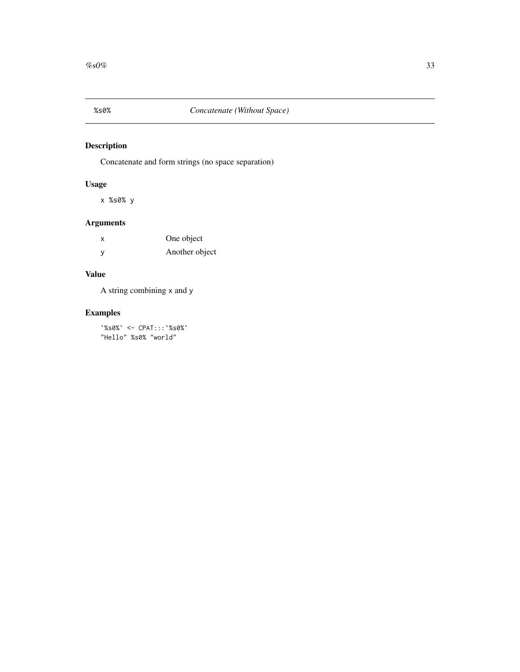<span id="page-32-0"></span>

Concatenate and form strings (no space separation)

# Usage

x %s0% y

# Arguments

| $\boldsymbol{\mathsf{x}}$ | One object     |
|---------------------------|----------------|
| y                         | Another object |

# Value

A string combining x and y

# Examples

`%s0%` <- CPAT:::`%s0%` "Hello" %s0% "world"